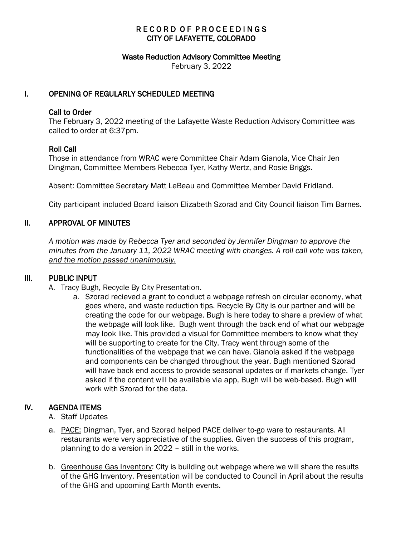# RECORD OF PROCEEDINGS CITY OF LAFAYETTE, COLORADO

#### Waste Reduction Advisory Committee Meeting

February 3, 2022

### I. OPENING OF REGULARLY SCHEDULED MEETING

### Call to Order

The February 3, 2022 meeting of the Lafayette Waste Reduction Advisory Committee was called to order at 6:37pm.

### Roll Call

Those in attendance from WRAC were Committee Chair Adam Gianola, Vice Chair Jen Dingman, Committee Members Rebecca Tyer, Kathy Wertz, and Rosie Briggs.

Absent: Committee Secretary Matt LeBeau and Committee Member David Fridland.

City participant included Board liaison Elizabeth Szorad and City Council liaison Tim Barnes.

# II. APPROVAL OF MINUTES

 *A motion was made by Rebecca Tyer and seconded by Jennifer Dingman to approve the minutes from the January 11, 2022 WRAC meeting with changes. A roll call vote was taken, and the motion passed unanimously.* 

### III. PUBLIC INPUT

- A. Tracy Bugh, Recycle By City Presentation.
	- a. Szorad recieved a grant to conduct a webpage refresh on circular economy, what goes where, and waste reduction tips. Recycle By City is our partner and will be creating the code for our webpage. Bugh is here today to share a preview of what the webpage will look like. Bugh went through the back end of what our webpage may look like. This provided a visual for Committee members to know what they will be supporting to create for the City. Tracy went through some of the functionalities of the webpage that we can have. Gianola asked if the webpage and components can be changed throughout the year. Bugh mentioned Szorad will have back end access to provide seasonal updates or if markets change. Tyer asked if the content will be available via app, Bugh will be web-based. Bugh will work with Szorad for the data.

# IV. AGENDA ITEMS

- A. Staff Updates
- a. PACE: Dingman, Tyer, and Szorad helped PACE deliver to-go ware to restaurants. All restaurants were very appreciative of the supplies. Given the success of this program, planning to do a version in 2022 – still in the works.
- b. Greenhouse Gas Inventory: City is building out webpage where we will share the results of the GHG Inventory. Presentation will be conducted to Council in April about the results of the GHG and upcoming Earth Month events.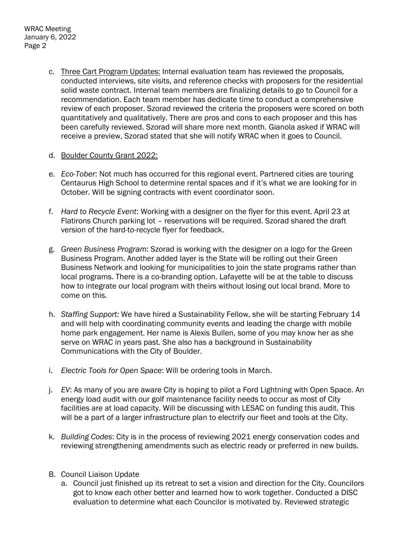- c. Three Cart Program Updates: Internal evaluation team has reviewed the proposals, conducted interviews, site visits, and reference checks with proposers for the residential solid waste contract. Internal team members are finalizing details to go to Council for a recommendation. Each team member has dedicate time to conduct a comprehensive review of each proposer. Szorad reviewed the criteria the proposers were scored on both quantitatively and qualitatively. There are pros and cons to each proposer and this has been carefully reviewed. Szorad will share more next month. Gianola asked if WRAC will receive a preview, Szorad stated that she will notify WRAC when it goes to Council.
- d. Boulder County Grant 2022:
- e. *Eco-Tober*: Not much has occurred for this regional event. Partnered cities are touring Centaurus High School to determine rental spaces and if it's what we are looking for in October. Will be signing contracts with event coordinator soon.
- f. *Hard to Recycle Event*: Working with a designer on the flyer for this event. April 23 at Flatirons Church parking lot – reservations will be required. Szorad shared the draft version of the hard-to-recycle flyer for feedback.
- g. *Green Business Program*: Szorad is working with the designer on a logo for the Green Business Program. Another added layer is the State will be rolling out their Green Business Network and looking for municipalities to join the state programs rather than local programs. There is a co-branding option. Lafayette will be at the table to discuss how to integrate our local program with theirs without losing out local brand. More to come on this.
- h. *Staffing Support:* We have hired a Sustainability Fellow, she will be starting February 14 and will help with coordinating community events and leading the charge with mobile home park engagement. Her name is Alexis Bullen, some of you may know her as she serve on WRAC in years past. She also has a background in Sustainability Communications with the City of Boulder.
- i. *Electric Tools for Open Space*: Will be ordering tools in March.
- j. *EV*: As many of you are aware City is hoping to pilot a Ford Lightning with Open Space. An energy load audit with our golf maintenance facility needs to occur as most of City facilities are at load capacity. Will be discussing with LESAC on funding this audit. This will be a part of a larger infrastructure plan to electrify our fleet and tools at the City.
- k. *Building Codes*: City is in the process of reviewing 2021 energy conservation codes and reviewing strengthening amendments such as electric ready or preferred in new builds.
- B. Council Liaison Update
	- a. Council just finished up its retreat to set a vision and direction for the City. Councilors got to know each other better and learned how to work together. Conducted a DISC evaluation to determine what each Councilor is motivated by. Reviewed strategic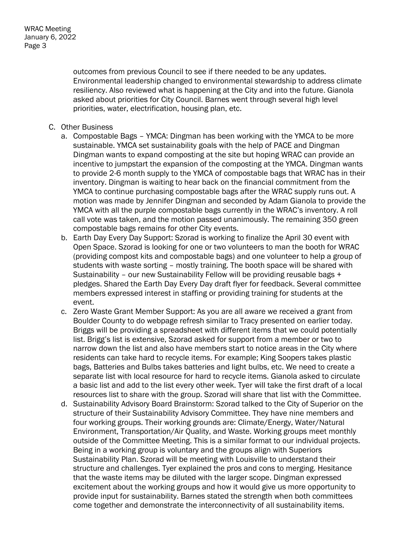outcomes from previous Council to see if there needed to be any updates. Environmental leadership changed to environmental stewardship to address climate resiliency. Also reviewed what is happening at the City and into the future. Gianola asked about priorities for City Council. Barnes went through several high level priorities, water, electrification, housing plan, etc.

- C. Other Business
	- a. Compostable Bags YMCA: Dingman has been working with the YMCA to be more sustainable. YMCA set sustainability goals with the help of PACE and Dingman Dingman wants to expand composting at the site but hoping WRAC can provide an incentive to jumpstart the expansion of the composting at the YMCA. Dingman wants to provide 2-6 month supply to the YMCA of compostable bags that WRAC has in their inventory. Dingman is waiting to hear back on the financial commitment from the YMCA to continue purchasing compostable bags after the WRAC supply runs out. A motion was made by Jennifer Dingman and seconded by Adam Gianola to provide the YMCA with all the purple compostable bags currently in the WRAC's inventory. A roll call vote was taken, and the motion passed unanimously. The remaining 350 green compostable bags remains for other City events.
	- b. Earth Day Every Day Support: Szorad is working to finalize the April 30 event with Open Space. Szorad is looking for one or two volunteers to man the booth for WRAC (providing compost kits and compostable bags) and one volunteer to help a group of students with waste sorting – mostly training. The booth space will be shared with Sustainability – our new Sustainability Fellow will be providing reusable bags + pledges. Shared the Earth Day Every Day draft flyer for feedback. Several committee members expressed interest in staffing or providing training for students at the event.
	- c. Zero Waste Grant Member Support: As you are all aware we received a grant from Boulder County to do webpage refresh similar to Tracy presented on earlier today. Briggs will be providing a spreadsheet with different items that we could potentially list. Brigg's list is extensive, Szorad asked for support from a member or two to narrow down the list and also have members start to notice areas in the City where residents can take hard to recycle items. For example; King Soopers takes plastic bags, Batteries and Bulbs takes batteries and light bulbs, etc. We need to create a separate list with local resource for hard to recycle items. Gianola asked to circulate a basic list and add to the list every other week. Tyer will take the first draft of a local resources list to share with the group. Szorad will share that list with the Committee.
	- d. Sustainability Advisory Board Brainstorm: Szorad talked to the City of Superior on the structure of their Sustainability Advisory Committee. They have nine members and four working groups. Their working grounds are: Climate/Energy, Water/Natural Environment, Transportation/Air Quality, and Waste. Working groups meet monthly outside of the Committee Meeting. This is a similar format to our individual projects. Being in a working group is voluntary and the groups align with Superiors Sustainability Plan. Szorad will be meeting with Louisville to understand their structure and challenges. Tyer explained the pros and cons to merging. Hesitance that the waste items may be diluted with the larger scope. Dingman expressed excitement about the working groups and how it would give us more opportunity to provide input for sustainability. Barnes stated the strength when both committees come together and demonstrate the interconnectivity of all sustainability items.